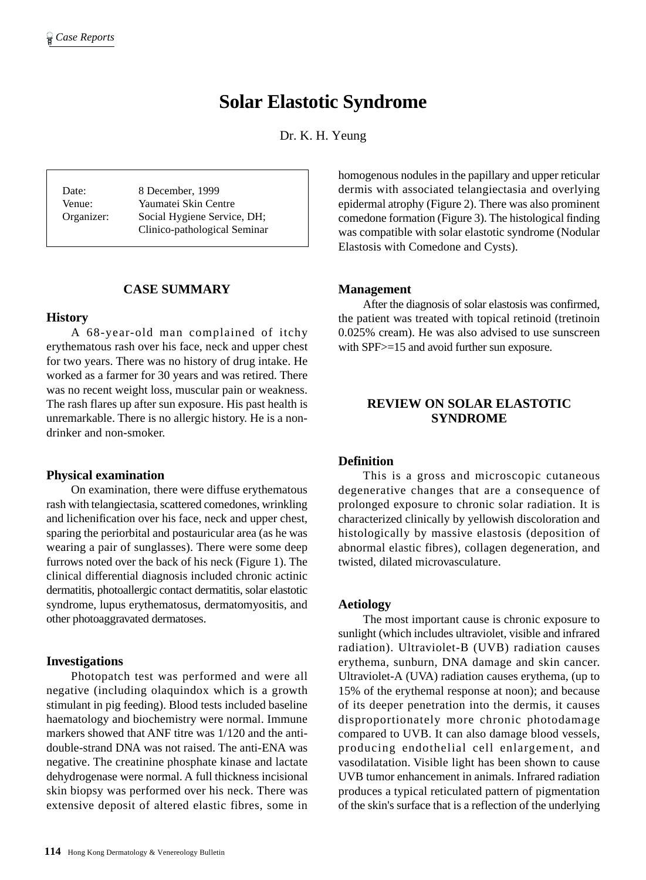# **Solar Elastotic Syndrome**

Dr. K. H. Yeung

Date: 8 December, 1999 Venue: Yaumatei Skin Centre Organizer: Social Hygiene Service, DH; Clinico-pathological Seminar

## **CASE SUMMARY**

#### **History**

A 68-year-old man complained of itchy erythematous rash over his face, neck and upper chest for two years. There was no history of drug intake. He worked as a farmer for 30 years and was retired. There was no recent weight loss, muscular pain or weakness. The rash flares up after sun exposure. His past health is unremarkable. There is no allergic history. He is a nondrinker and non-smoker.

#### **Physical examination**

On examination, there were diffuse erythematous rash with telangiectasia, scattered comedones, wrinkling and lichenification over his face, neck and upper chest, sparing the periorbital and postauricular area (as he was wearing a pair of sunglasses). There were some deep furrows noted over the back of his neck (Figure 1). The clinical differential diagnosis included chronic actinic dermatitis, photoallergic contact dermatitis, solar elastotic syndrome, lupus erythematosus, dermatomyositis, and other photoaggravated dermatoses.

#### **Investigations**

Photopatch test was performed and were all negative (including olaquindox which is a growth stimulant in pig feeding). Blood tests included baseline haematology and biochemistry were normal. Immune markers showed that ANF titre was 1/120 and the antidouble-strand DNA was not raised. The anti-ENA was negative. The creatinine phosphate kinase and lactate dehydrogenase were normal. A full thickness incisional skin biopsy was performed over his neck. There was extensive deposit of altered elastic fibres, some in homogenous nodules in the papillary and upper reticular dermis with associated telangiectasia and overlying epidermal atrophy (Figure 2). There was also prominent comedone formation (Figure 3). The histological finding was compatible with solar elastotic syndrome (Nodular Elastosis with Comedone and Cysts).

#### **Management**

After the diagnosis of solar elastosis was confirmed, the patient was treated with topical retinoid (tretinoin 0.025% cream). He was also advised to use sunscreen with SPF $>=15$  and avoid further sun exposure.

# **REVIEW ON SOLAR ELASTOTIC SYNDROME**

## **Definition**

This is a gross and microscopic cutaneous degenerative changes that are a consequence of prolonged exposure to chronic solar radiation. It is characterized clinically by yellowish discoloration and histologically by massive elastosis (deposition of abnormal elastic fibres), collagen degeneration, and twisted, dilated microvasculature.

#### **Aetiology**

The most important cause is chronic exposure to sunlight (which includes ultraviolet, visible and infrared radiation). Ultraviolet-B (UVB) radiation causes erythema, sunburn, DNA damage and skin cancer. Ultraviolet-A (UVA) radiation causes erythema, (up to 15% of the erythemal response at noon); and because of its deeper penetration into the dermis, it causes disproportionately more chronic photodamage compared to UVB. It can also damage blood vessels, producing endothelial cell enlargement, and vasodilatation. Visible light has been shown to cause UVB tumor enhancement in animals. Infrared radiation produces a typical reticulated pattern of pigmentation of the skin's surface that is a reflection of the underlying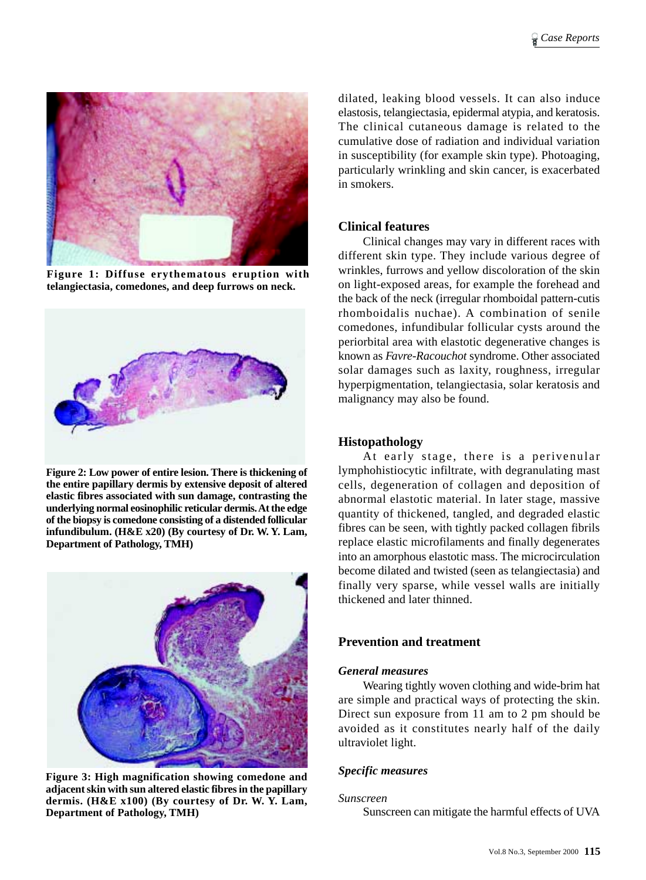

**Figure 1: Diffuse erythematous eruption with telangiectasia, comedones, and deep furrows on neck.**



**Figure 2: Low power of entire lesion. There is thickening of the entire papillary dermis by extensive deposit of altered elastic fibres associated with sun damage, contrasting the underlying normal eosinophilic reticular dermis. At the edge of the biopsy is comedone consisting of a distended follicular infundibulum. (H&E x20) (By courtesy of Dr. W. Y. Lam, Department of Pathology, TMH)**



**Figure 3: High magnification showing comedone and adjacent skin with sun altered elastic fibres in the papillary dermis. (H&E x100) (By courtesy of Dr. W. Y. Lam, Department of Pathology, TMH)**

dilated, leaking blood vessels. It can also induce elastosis, telangiectasia, epidermal atypia, and keratosis. The clinical cutaneous damage is related to the cumulative dose of radiation and individual variation in susceptibility (for example skin type). Photoaging, particularly wrinkling and skin cancer, is exacerbated in smokers.

# **Clinical features**

Clinical changes may vary in different races with different skin type. They include various degree of wrinkles, furrows and yellow discoloration of the skin on light-exposed areas, for example the forehead and the back of the neck (irregular rhomboidal pattern-cutis rhomboidalis nuchae). A combination of senile comedones, infundibular follicular cysts around the periorbital area with elastotic degenerative changes is known as *Favre-Racouchot* syndrome. Other associated solar damages such as laxity, roughness, irregular hyperpigmentation, telangiectasia, solar keratosis and malignancy may also be found.

# **Histopathology**

At early stage, there is a perivenular lymphohistiocytic infiltrate, with degranulating mast cells, degeneration of collagen and deposition of abnormal elastotic material. In later stage, massive quantity of thickened, tangled, and degraded elastic fibres can be seen, with tightly packed collagen fibrils replace elastic microfilaments and finally degenerates into an amorphous elastotic mass. The microcirculation become dilated and twisted (seen as telangiectasia) and finally very sparse, while vessel walls are initially thickened and later thinned.

# **Prevention and treatment**

## *General measures*

Wearing tightly woven clothing and wide-brim hat are simple and practical ways of protecting the skin. Direct sun exposure from 11 am to 2 pm should be avoided as it constitutes nearly half of the daily ultraviolet light.

## *Specific measures*

#### *Sunscreen*

Sunscreen can mitigate the harmful effects of UVA